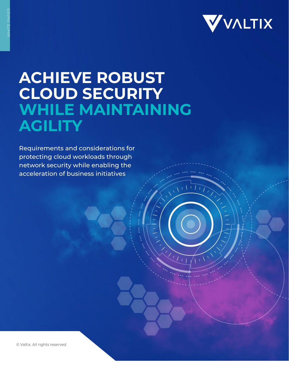

 $\sqrt{1+\Gamma t}$ 

 $\sqrt{11}$ 

# **ACHIEVE ROBUST CLOUD SECURITY WHILE MAINTAINING AGILITY**

Requirements and considerations for protecting cloud workloads through network security while enabling the acceleration of business initiatives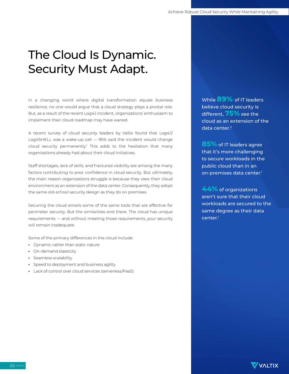## The Cloud Is Dynamic. Security Must Adapt.

In a changing world where digital transformation equals business resilience, no one would argue that a cloud strategy plays a pivotal role. But, as a result of the recent Log4J incident, organizations' enthusiasm to implement their cloud roadmap may have waned.

A recent survey of cloud security leaders by Valtix found that Log4J/ Log4SHELL was a wake-up call — 95% said the incident would change cloud security permanently.<sup>1</sup> This adds to the hesitation that many organizations already had about their cloud initiatives.

Staff shortages, lack of skills, and fractured visibility are among the many factors contributing to poor confidence in cloud security. But ultimately, the main reason organizations struggle is because they view their cloud environment as an extension of the data center. Consequently, they adopt the same old-school security design as they do on premises.

Securing the cloud entails some of the same tools that are effective for perimeter security. But the similarities end there. The cloud has unique requirements — and without meeting those requirements, your security will remain inadequate.

Some of the primary differences in the cloud include:

- **•** Dynamic rather than static nature
- **•** On-demand elasticity
- **•** Seamless scalability
- **•** Speed to deployment and business agility
- **•** Lack of control over cloud services (serverless/PaaS)

While **89%** of IT leaders believe cloud security is different, **75%** see the cloud as an extension of the data center.<sup>2</sup>

**85%** of IT leaders agree that it's more challenging to secure workloads in the public cloud than in an on-premises data center.<sup>1</sup>

**44%** of organizations aren't sure that their cloud workloads are secured to the same degree as their data  $center<sup>1</sup>$ 

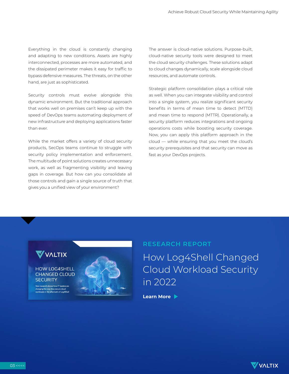Everything in the cloud is constantly changing and adapting to new conditions. Assets are highly interconnected, processes are more automated, and the dissipated perimeter makes it easy for traffic to bypass defensive measures. The threats, on the other hand, are just as sophisticated.

Security controls must evolve alongside this dynamic environment. But the traditional approach that works well on premises can't keep up with the speed of DevOps teams automating deployment of new infrastructure and deploying applications faster than ever.

While the market offers a variety of cloud security products, SecOps teams continue to struggle with security policy implementation and enforcement. The multitude of point solutions creates unnecessary work, as well as fragmenting visibility and leaving gaps in coverage. But how can you consolidate all those controls and gain a single source of truth that gives you a unified view of your environment?

The answer is cloud-native solutions. Purpose-built, cloud-native security tools were designed to meet the cloud security challenges. These solutions adapt to cloud changes dynamically, scale alongside cloud resources, and automate controls.

Strategic platform consolidation plays a critical role as well. When you can integrate visibility and control into a single system, you realize significant security benefits in terms of mean time to detect (MTTD) and mean time to respond (MTTR). Operationally, a security platform reduces integrations and ongoing operations costs while boosting security coverage. Now, you can apply this platform approach in the cloud — while ensuring that you meet the cloud's security prerequisites and that security can move as fast as your DevOps projects.



Cloud Workload Security in 2022

**Learn More**

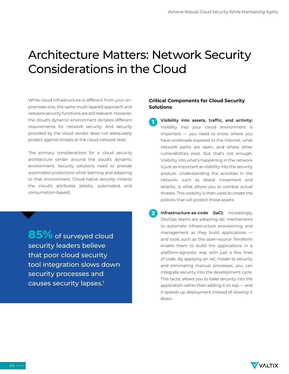### Architecture Matters: Network Security Considerations in the Cloud

While cloud infrastructure is different from your onpremises one, the same multi-layered approach and network security functions are still relevant. However, the cloud's dynamic environment dictates different requirements for network security. And security provided by the cloud vendor does not adequately protect against threats at the cloud network level.

The primary considerations for a cloud security architecture center around the cloud's dynamic environment. Security solutions need to provide automated protections while learning and adapting to that environment. Cloud-native security inherits the cloud's attributes (elastic, automated, and consumption-based).

**85%** of surveyed cloud security leaders believe that poor cloud security tool integration slows down security processes and causes security lapses.<sup>1</sup>

### **Critical Components for Cloud Security Solutions**

- **Visibility into assets, traffic, and activity:**  Visibility into your cloud environment is important — you need to know where you have workloads exposed to the internet, what network paths are open, and where other vulnerabilities exist. But that's not enough. Visibility into what's happening in the network is just as important as visibility into the security posture. Understanding the activities in the network, such as lateral movement and attacks, is what allows you to combat actual threats. This visibility is then used to create the policies that will protect those assets. **1**
- **Infrastructure-as-code (IaC):** Increasingly, DevOps teams are adopting IaC mechanisms to automate infrastructure provisioning and management as they build applications and tools such as the open-source Terraform enable them to build the applications in a platform-agnostic way with just a few lines of code. By applying an IaC model to security and eliminating manual processes, you can integrate security into the development cycle. This tactic allows you to bake security into the application rather than adding it on top — and it speeds up deployment instead of slowing it down. **2**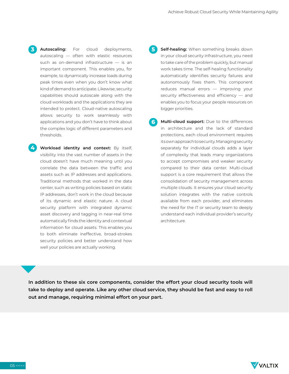**Autoscaling:** For cloud deployments, autoscaling — often with elastic resources such as on-demand infrastructure — is an important component. This enables you, for example, to dynamically increase loads during peak times even when you don't know what kind of demand to anticipate. Likewise, security capabilities should autoscale along with the cloud workloads and the applications they are intended to protect. Cloud-native autoscaling allows security to work seamlessly with applications and you don't have to think about the complex logic of different parameters and thresholds. **3**

**Workload identity and context:** By itself, visibility into the vast number of assets in the cloud doesn't have much meaning until you correlate the data between the traffic and assets such as IP addresses and applications. Traditional methods that worked in the data center, such as writing policies based on static IP addresses, don't work in the cloud because of its dynamic and elastic nature. A cloud security platform with integrated dynamic asset discovery and tagging in near-real time automatically finds the identity and contextual information for cloud assets. This enables you to both eliminate ineffective, broad-strokes security policies and better understand how well your policies are actually working.

- **Self-healing:** When something breaks down in your cloud security infrastructure, you need to take care of the problem quickly, but manual work takes time. The self-healing functionality automatically identifies security failures and autonomously fixes them. This component reduces manual errors — improving your security effectiveness and efficiency - and enables you to focus your people resources on bigger priorities. **5**
- **Multi-cloud support:** Due to the differences in architecture and the lack of standard protections, each cloud environment requires its own approach to security. Managing security separately for individual clouds adds a layer of complexity that leads many organizations to accept compromises and weaker security compared to their data center. Multi-cloud support is a core requirement that allows the consolidation of security management across multiple clouds. It ensures your cloud security solution integrates with the native controls available from each provider, and eliminates the need for the IT or security team to deeply understand each individual provider's security architecture. **6**

**In addition to these six core components, consider the effort your cloud security tools will take to deploy and operate. Like any other cloud service, they should be fast and easy to roll out and manage, requiring minimal effort on your part.**



**4**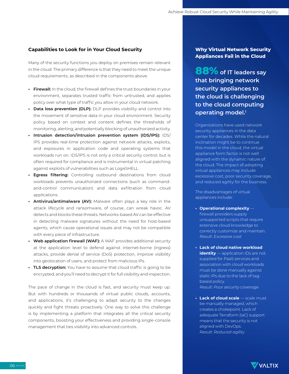#### **Capabilities to Look for in Your Cloud Security**

Many of the security functions you deploy on premises remain relevant in the cloud. The primary difference is that they need to meet the unique cloud requirements, as described in the components above.

- **• Firewall:** In the cloud, the firewall defines the trust boundaries in your environment, separates trusted traffic from untrusted, and applies policy over what type of traffic you allow in your cloud network.
- **Data loss prevention (DLP):** DLP provides visibility and control into the movement of sensitive data in your cloud environment. Security policy based on context and content defines the thresholds of monitoring, alerting, and potentially blocking of unauthorized activity.
- **• Intrusion detection/intrusion prevention system (IDS/IPS):** IDS/ IPS provides real-time protection against network attacks, exploits, and exposures in application code and operating systems that workloads run on. IDS/IPS is not only a critical security control, but is often required for compliance and is instrumental in virtual patching against exploits of vulnerabilities such as Log4SHELL.
- **• Egress filtering:** Controlling outbound destinations from cloud workloads prevents unauthorized connections (such as commandand-control communication) and data exfiltration from cloud applications.
- **• Antivirus/antimalware (AV):** Malware often plays a key role in the attack lifecycle and ransomware, of course, can wreak havoc. AV detects and blocks these threats. Networks-based AV can be effective in detecting malware signatures without the need for host-based agents, which cause operational issues and may not be compatible with every piece of infrastructure.
- **• Web application firewall (WAF):** A WAF provides additional security at the application level to defend against internet-borne (ingress) attacks, provide denial of service (DoS) protection, improve visibility into geolocation of users, and protect from malicious IPs.
- **• TLS decryption:** You have to assume that cloud traffic is going to be encrypted, and you'll need to decrypt it for full visibility and inspection.

The pace of change in the cloud is fast, and security must keep up. But with hundreds or thousands of virtual public clouds, accounts, and applications, it's challenging to adapt security to the changes quickly and fight threats proactively. One way to solve this challenge is by implementing a platform that integrates all the critical security components, boosting your effectiveness and providing single-console management that ties visibility into advanced controls.

### **Why Virtual Network Security Appliances Fail in the Cloud**

**88%of IT leaders say that bringing network security appliances to the cloud is challenging to the cloud computing operating model.1**

Organizations have used network security appliances in the data center for decades. While the natural inclination might be to continue this model in the cloud, the virtual appliance form factor is not well aligned with the dynamic nature of the cloud. The impact of adopting virtual appliances may include excessive cost, poor security coverage, and reduced agility for the business.

The disadvantages of virtual appliances include:

- **• Operational complexity** firewall providers supply unsupported scripts that require extensive cloud knowledge to correctly customize and maintain. *Result: Excessive cost*
- **• Lack of cloud native workload identity** — application IDs are not supplied for PaaS services and association with cloud workloads must be done manually against static IPs due to the lack of tagbased policy. *Result: Poor security coverage*
- **• Lack of cloud scale** scale must be manually managed, which creates a chokepoint. Lack of adequate Terraform (IaC) support means that the security is not aligned with DevOps. *Result: Reduced agility*

**VVALTIX**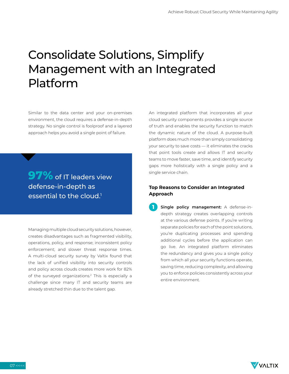## Consolidate Solutions, Simplify Management with an Integrated Platform

Similar to the data center and your on-premises environment, the cloud requires a defense-in-depth strategy. No single control is foolproof and a layered approach helps you avoid a single point of failure.

**97%** of IT leaders view defense-in-depth as essential to the cloud.<sup>1</sup>

Managing multiple cloud security solutions, however, creates disadvantages such as fragmented visibility, operations, policy, and response; inconsistent policy enforcement; and slower threat response times. A multi-cloud security survey by Valtix found that the lack of unified visibility into security controls and policy across clouds creates more work for 82% of the surveyed organizations.<sup>2</sup> This is especially a challenge since many IT and security teams are already stretched thin due to the talent gap.

An integrated platform that incorporates all your cloud security components provides a single source of truth and enables the security function to match the dynamic nature of the cloud. A purpose-built platform does much more than simply consolidating your security to save costs — it eliminates the cracks that point tools create and allows IT and security teams to move faster, save time, and identify security gaps more holistically with a single policy and a single service chain.

### **Top Reasons to Consider an Integrated Approach**

**Single policy management:** A defense-indepth strategy creates overlapping controls at the various defense points. If you're writing separate policies for each of the point solutions, you're duplicating processes and spending additional cycles before the application can go live. An integrated platform eliminates the redundancy and gives you a single policy from which all your security functions operate, saving time, reducing complexity, and allowing you to enforce policies consistently across your entire environment. **1**

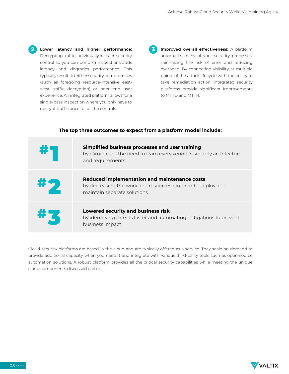- **Lower latency and higher performance: 2 3** Decrypting traffic individually for each security control so you can perform inspections adds latency and degrades performance. This typically results in either security compromises (such as foregoing resource-intensive eastwest traffic decryption) or poor end user experience. An integrated platform allows for a single-pass inspection where you only have to decrypt traffic once for all the controls.
- **Improved overall effectiveness:** A platform automates many of your security processes, minimizing the risk of error and reducing overhead. By connecting visibility at multiple points of the attack lifecycle with the ability to take remediation action, integrated security platforms provide significant improvements to MTTD and MTTR.



#### **The top three outcomes to expect from a platform model include:**

Cloud security platforms are based in the cloud and are typically offered as a service. They scale on demand to provide additional capacity when you need it and integrate with various third-party tools such as open-source automation solutions. A robust platform provides all the critical security capabilities while meeting the unique cloud components discussed earlier.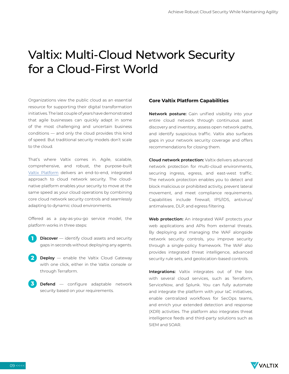### Valtix: Multi-Cloud Network Security for a Cloud-First World

Organizations view the public cloud as an essential resource for supporting their digital transformation initiatives. The last couple of years have demonstrated that agile businesses can quickly adapt in some of the most challenging and uncertain business conditions — and only the cloud provides this kind of speed. But traditional security models don't scale to the cloud.

That's where Valtix comes in. Agile, scalable, comprehensive, and robust, the purpose-built [Valtix Platform](https://valtix.com/platform/tours/) delivers an end-to-end, integrated approach to cloud network security. The cloudnative platform enables your security to move at the same speed as your cloud operations by combining core cloud network security controls and seamlessly adapting to dynamic cloud environments.

Offered as a pay-as-you-go service model, the platform works in three steps:

- **Discover** identify cloud assets and security gaps in seconds without deploying any agents. **1**
- **Deploy** enable the Valtix Cloud Gateway with one click, either in the Valtix console or through Terraform. **2**
- **Defend** configure adaptable network security based on your requirements. **3**

### **Core Valtix Platform Capabilities**

**Network posture:** Gain unified visibility into your entire cloud network through continuous asset discovery and inventory, assess open network paths, and identify suspicious traffic. Valtix also surfaces gaps in your network security coverage and offers recommendations for closing them.

**Cloud network protection:** Valtix delivers advanced network protection for multi-cloud environments, securing ingress, egress, and east-west traffic. The network protection enables you to detect and block malicious or prohibited activity, prevent lateral movement, and meet compliance requirements. Capabilities include firewall, IPS/IDS, antivirus/ antimalware, DLP, and egress filtering.

**Web protection:** An integrated WAF protects your web applications and APIs from external threats. By deploying and managing the WAF alongside network security controls, you improve security through a single-policy framework. The WAF also provides integrated threat intelligence, advanced security rule sets, and geolocation-based controls.

**Integrations:** Valtix integrates out of the box with several cloud services, such as Terraform, ServiceNow, and Splunk. You can fully automate and integrate the platform with your IaC initiatives, enable centralized workflows for SecOps teams, and enrich your extended detection and response (XDR) activities. The platform also integrates threat intelligence feeds and third-party solutions such as SIEM and SOAR.

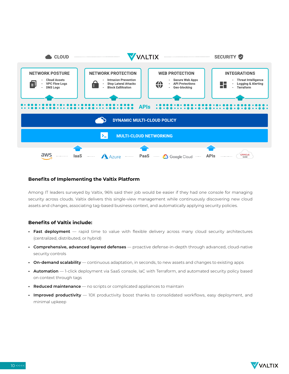

### **Benefits of Implementing the Valtix Platform**

Among IT leaders surveyed by Valtix, 96% said their job would be easier if they had one console for managing security across clouds. Valtix delivers this single-view management while continuously discovering new cloud assets and changes, associating tag-based business context, and automatically applying security policies.

### **Benefits of Valtix include:**

- **• Fast deployment** rapid time to value with flexible delivery across many cloud security architectures (centralized, distributed, or hybrid)
- **• Comprehensive, advanced layered defenses** proactive defense-in-depth through advanced, cloud-native security controls
- **• On-demand scalability** continuous adaptation, in seconds, to new assets and changes to existing apps
- **• Automation** 1-click deployment via SaaS console, IaC with Terraform, and automated security policy based on context through tags
- **• Reduced maintenance** no scripts or complicated appliances to maintain
- **• Improved productivity** 10X productivity boost thanks to consolidated workflows, easy deployment, and minimal upkeep

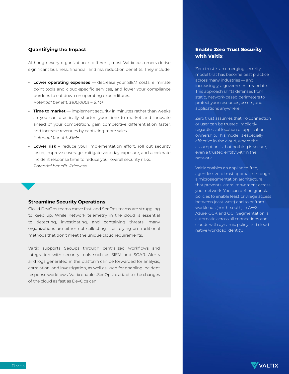### **Quantifying the Impact**

Although every organization is different, most Valtix customers derive significant business, financial, and risk reduction benefits. They include:

- **• Lower operating expenses** decrease your SIEM costs, eliminate point tools and cloud-specific services, and lower your compliance burdens to cut down on operating expenditures. *Potential benefit: \$100,000s – \$1M+*
- **• Time to market** implement security in minutes rather than weeks so you can drastically shorten your time to market and innovate ahead of your competition, gain competitive differentiation faster, and increase revenues by capturing more sales. *Potential benefit: \$1M+*
- **• Lower risk** reduce your implementation effort, roll out security faster, improve coverage, mitigate zero day exposure, and accelerate incident response time to reduce your overall security risks. *Potential benefit: Priceless*

### **Streamline Security Operations**

Cloud DevOps teams move fast, and SecOps teams are struggling to keep up. While network telemetry in the cloud is essential to detecting, investigating, and containing threats, many organizations are either not collecting it or relying on traditional methods that don't meet the unique cloud requirements.

Valtix supports SecOps through centralized workflows and integration with security tools such as SIEM and SOAR. Alerts and logs generated in the platform can be forwarded for analysis, correlation, and investigation, as well as used for enabling incident response workflows. Valtix enables SecOps to adapt to the changes of the cloud as fast as DevOps can.

### **Enable Zero Trust Security with Valtix**

Zero trust is an emerging security model that has become best practice across many industries — and increasingly, a government mandate. This approach shifts defenses from static, network-based perimeters to protect your resources, assets, and applications anywhere.

Zero trust assumes that no connection or user can be trusted implicitly regardless of location or application ownership. This model is especially effective in the cloud, where the assumption is that nothing is secure, even a trusted entity within the network.

Valtix enables an appliance-free, agentless zero trust approach through a microsegmentation architecture that prevents lateral movement across your network. You can define granular policies to enable least privilege access between (east-west) and to or from workloads (north-south) in AWS, Azure, GCP, and OCI. Segmentation is automatic across all connections and clouds with dynamic policy and cloudnative workload identity.